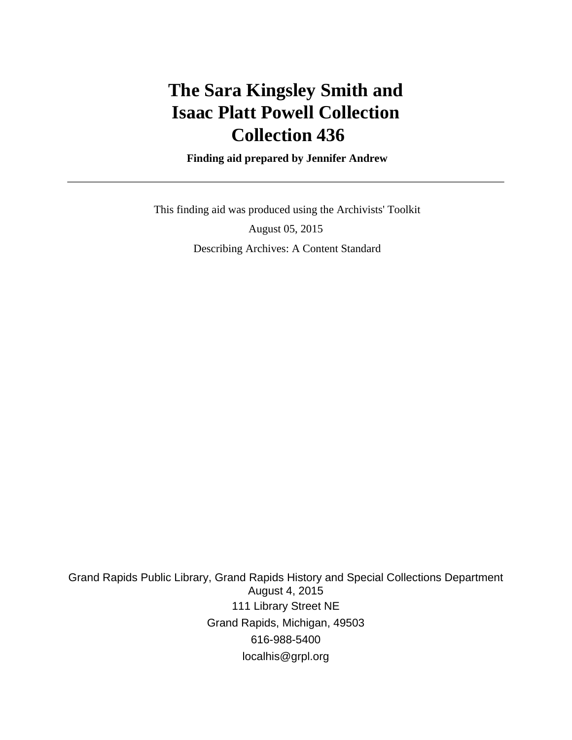## **The Sara Kingsley Smith and Isaac Platt Powell Collection Collection 436**

 **Finding aid prepared by Jennifer Andrew**

 This finding aid was produced using the Archivists' Toolkit August 05, 2015 Describing Archives: A Content Standard

Grand Rapids Public Library, Grand Rapids History and Special Collections Department August 4, 2015 111 Library Street NE Grand Rapids, Michigan, 49503 616-988-5400 localhis@grpl.org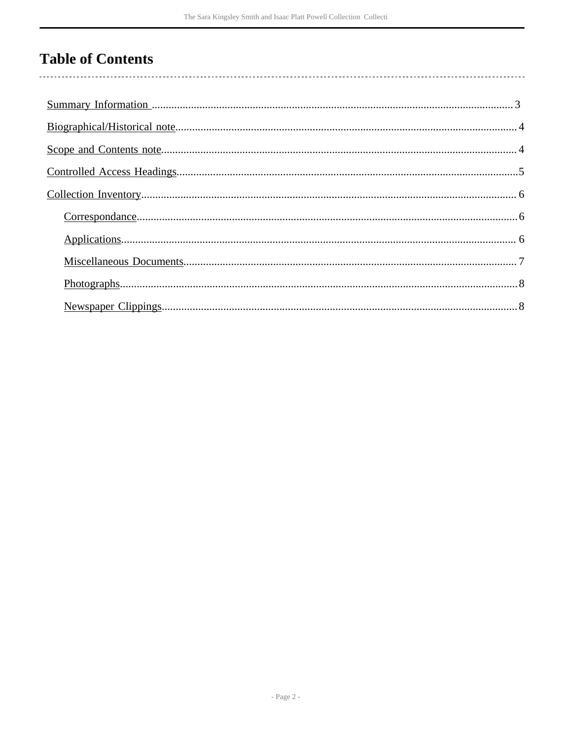## **Table of Contents**

 $\overline{\phantom{a}}$ 

| $Photographs 3.8$ |
|-------------------|
|                   |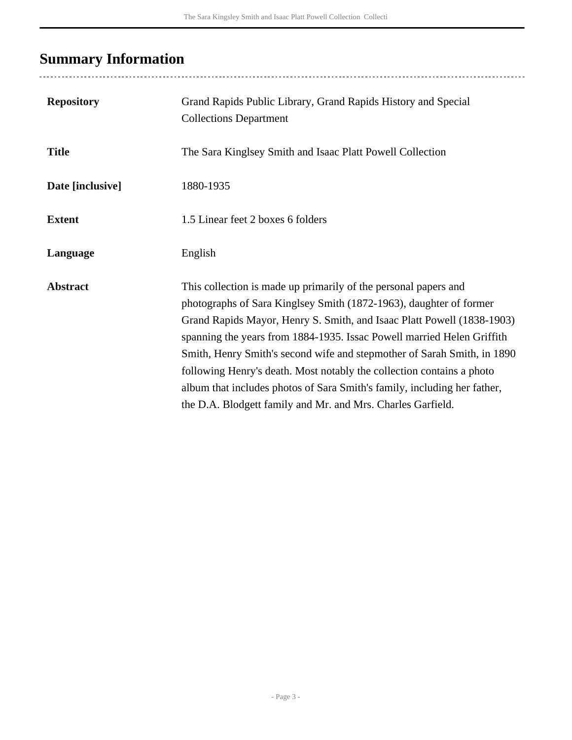## <span id="page-2-0"></span>**Summary Information**

| <b>Repository</b> | Grand Rapids Public Library, Grand Rapids History and Special<br><b>Collections Department</b>                                                                                                                                                                                                                                                                                                                                                                                                                                                                                           |
|-------------------|------------------------------------------------------------------------------------------------------------------------------------------------------------------------------------------------------------------------------------------------------------------------------------------------------------------------------------------------------------------------------------------------------------------------------------------------------------------------------------------------------------------------------------------------------------------------------------------|
| <b>Title</b>      | The Sara Kinglsey Smith and Isaac Platt Powell Collection                                                                                                                                                                                                                                                                                                                                                                                                                                                                                                                                |
| Date [inclusive]  | 1880-1935                                                                                                                                                                                                                                                                                                                                                                                                                                                                                                                                                                                |
| <b>Extent</b>     | 1.5 Linear feet 2 boxes 6 folders                                                                                                                                                                                                                                                                                                                                                                                                                                                                                                                                                        |
| Language          | English                                                                                                                                                                                                                                                                                                                                                                                                                                                                                                                                                                                  |
| <b>Abstract</b>   | This collection is made up primarily of the personal papers and<br>photographs of Sara Kinglsey Smith (1872-1963), daughter of former<br>Grand Rapids Mayor, Henry S. Smith, and Isaac Platt Powell (1838-1903)<br>spanning the years from 1884-1935. Issac Powell married Helen Griffith<br>Smith, Henry Smith's second wife and stepmother of Sarah Smith, in 1890<br>following Henry's death. Most notably the collection contains a photo<br>album that includes photos of Sara Smith's family, including her father,<br>the D.A. Blodgett family and Mr. and Mrs. Charles Garfield. |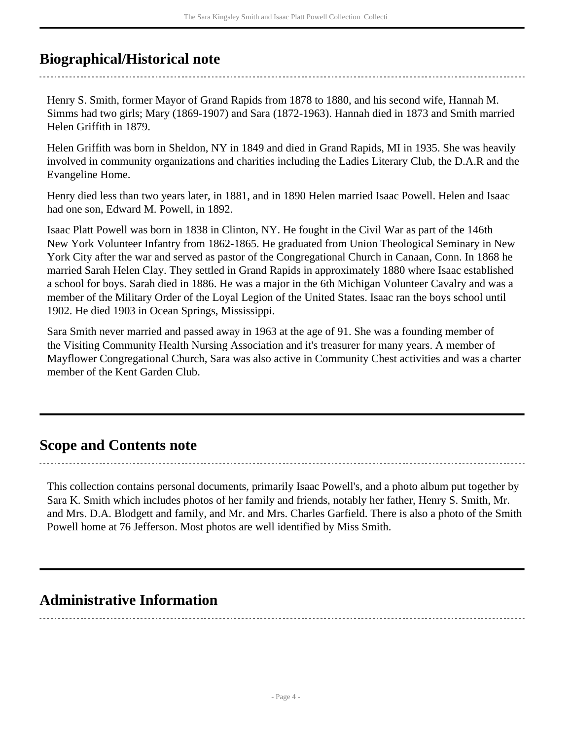## <span id="page-3-0"></span>**Biographical/Historical note**

Henry S. Smith, former Mayor of Grand Rapids from 1878 to 1880, and his second wife, Hannah M. Simms had two girls; Mary (1869-1907) and Sara (1872-1963). Hannah died in 1873 and Smith married Helen Griffith in 1879.

Helen Griffith was born in Sheldon, NY in 1849 and died in Grand Rapids, MI in 1935. She was heavily involved in community organizations and charities including the Ladies Literary Club, the D.A.R and the Evangeline Home.

Henry died less than two years later, in 1881, and in 1890 Helen married Isaac Powell. Helen and Isaac had one son, Edward M. Powell, in 1892.

Isaac Platt Powell was born in 1838 in Clinton, NY. He fought in the Civil War as part of the 146th New York Volunteer Infantry from 1862-1865. He graduated from Union Theological Seminary in New York City after the war and served as pastor of the Congregational Church in Canaan, Conn. In 1868 he married Sarah Helen Clay. They settled in Grand Rapids in approximately 1880 where Isaac established a school for boys. Sarah died in 1886. He was a major in the 6th Michigan Volunteer Cavalry and was a member of the Military Order of the Loyal Legion of the United States. Isaac ran the boys school until 1902. He died 1903 in Ocean Springs, Mississippi.

Sara Smith never married and passed away in 1963 at the age of 91. She was a founding member of the Visiting Community Health Nursing Association and it's treasurer for many years. A member of Mayflower Congregational Church, Sara was also active in Community Chest activities and was a charter member of the Kent Garden Club.

### <span id="page-3-1"></span>**Scope and Contents note**

This collection contains personal documents, primarily Isaac Powell's, and a photo album put together by Sara K. Smith which includes photos of her family and friends, notably her father, Henry S. Smith, Mr. and Mrs. D.A. Blodgett and family, and Mr. and Mrs. Charles Garfield. There is also a photo of the Smith Powell home at 76 Jefferson. Most photos are well identified by Miss Smith.

### **Administrative Information**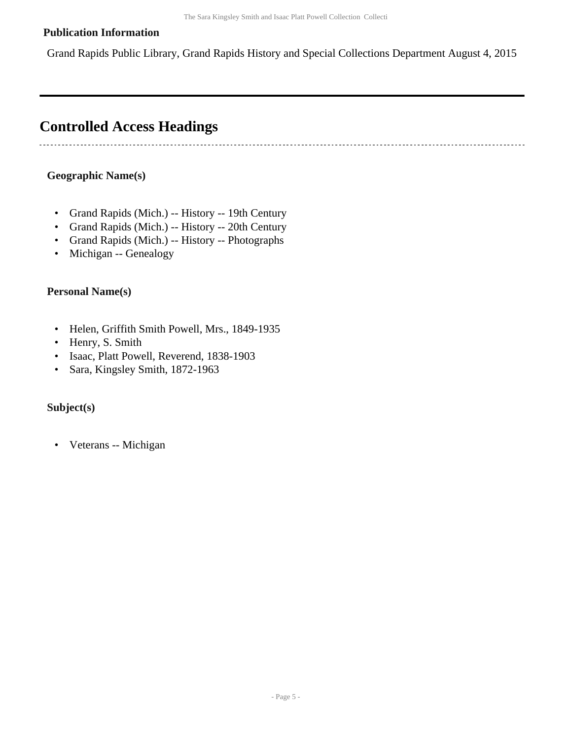#### **Publication Information**

Grand Rapids Public Library, Grand Rapids History and Special Collections Department August 4, 2015

### <span id="page-4-0"></span>**Controlled Access Headings**

#### **Geographic Name(s)**

-----------------------------

- Grand Rapids (Mich.) -- History -- 19th Century
- Grand Rapids (Mich.) -- History -- 20th Century
- Grand Rapids (Mich.) -- History -- Photographs
- Michigan -- Genealogy

#### **Personal Name(s)**

- Helen, Griffith Smith Powell, Mrs., 1849-1935
- Henry, S. Smith
- Isaac, Platt Powell, Reverend, 1838-1903
- Sara, Kingsley Smith, 1872-1963

#### **Subject(s)**

• Veterans -- Michigan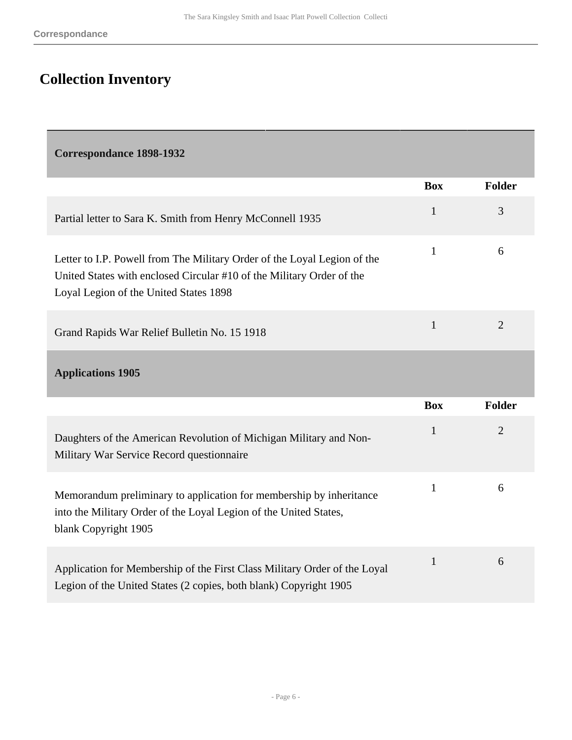# <span id="page-5-0"></span>**Collection Inventory**

<span id="page-5-1"></span>

| <b>Correspondance 1898-1932</b> |  |
|---------------------------------|--|
|---------------------------------|--|

<span id="page-5-2"></span>

|                                                                                                                                                                                             | <b>Box</b>   | <b>Folder</b>  |
|---------------------------------------------------------------------------------------------------------------------------------------------------------------------------------------------|--------------|----------------|
| Partial letter to Sara K. Smith from Henry McConnell 1935                                                                                                                                   | $\mathbf{1}$ | 3              |
| Letter to I.P. Powell from The Military Order of the Loyal Legion of the<br>United States with enclosed Circular #10 of the Military Order of the<br>Loyal Legion of the United States 1898 | $\mathbf{1}$ | 6              |
| Grand Rapids War Relief Bulletin No. 15 1918                                                                                                                                                | 1            | $\overline{2}$ |
| <b>Applications 1905</b>                                                                                                                                                                    |              |                |
|                                                                                                                                                                                             | <b>Box</b>   | <b>Folder</b>  |
| Daughters of the American Revolution of Michigan Military and Non-                                                                                                                          | $\mathbf{1}$ | $\overline{2}$ |
| Military War Service Record questionnaire                                                                                                                                                   |              |                |
| Memorandum preliminary to application for membership by inheritance<br>into the Military Order of the Loyal Legion of the United States,<br>blank Copyright 1905                            | $\mathbf{1}$ | 6              |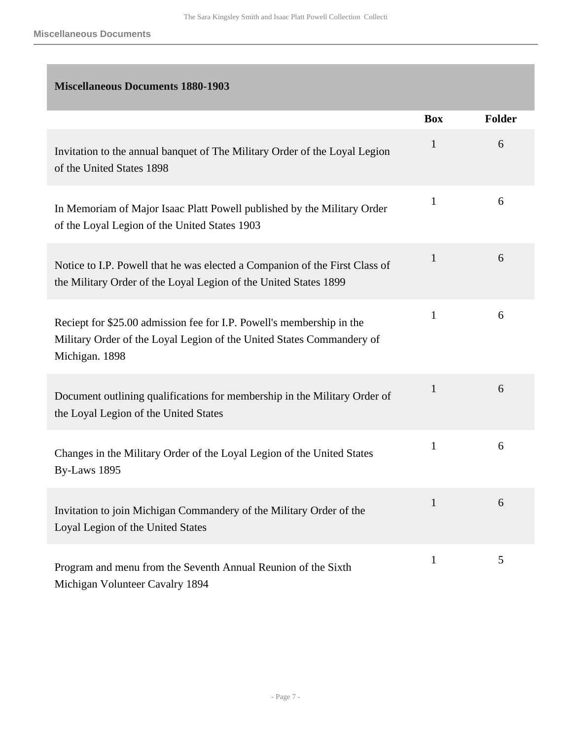### <span id="page-6-0"></span>**Miscellaneous Documents 1880-1903**

|                                                                                                                                                                  | <b>Box</b>   | <b>Folder</b> |
|------------------------------------------------------------------------------------------------------------------------------------------------------------------|--------------|---------------|
| Invitation to the annual banquet of The Military Order of the Loyal Legion<br>of the United States 1898                                                          | $\mathbf{1}$ | 6             |
| In Memoriam of Major Isaac Platt Powell published by the Military Order<br>of the Loyal Legion of the United States 1903                                         | $\mathbf{1}$ | 6             |
| Notice to I.P. Powell that he was elected a Companion of the First Class of<br>the Military Order of the Loyal Legion of the United States 1899                  | $\mathbf{1}$ | 6             |
| Reciept for \$25.00 admission fee for I.P. Powell's membership in the<br>Military Order of the Loyal Legion of the United States Commandery of<br>Michigan. 1898 | $\mathbf{1}$ | 6             |
| Document outlining qualifications for membership in the Military Order of<br>the Loyal Legion of the United States                                               | $\mathbf{1}$ | 6             |
| Changes in the Military Order of the Loyal Legion of the United States<br>By-Laws 1895                                                                           | $\mathbf{1}$ | 6             |
| Invitation to join Michigan Commandery of the Military Order of the<br>Loyal Legion of the United States                                                         | $\mathbf{1}$ | 6             |
| Program and menu from the Seventh Annual Reunion of the Sixth<br>Michigan Volunteer Cavalry 1894                                                                 | $\mathbf{1}$ | 5             |